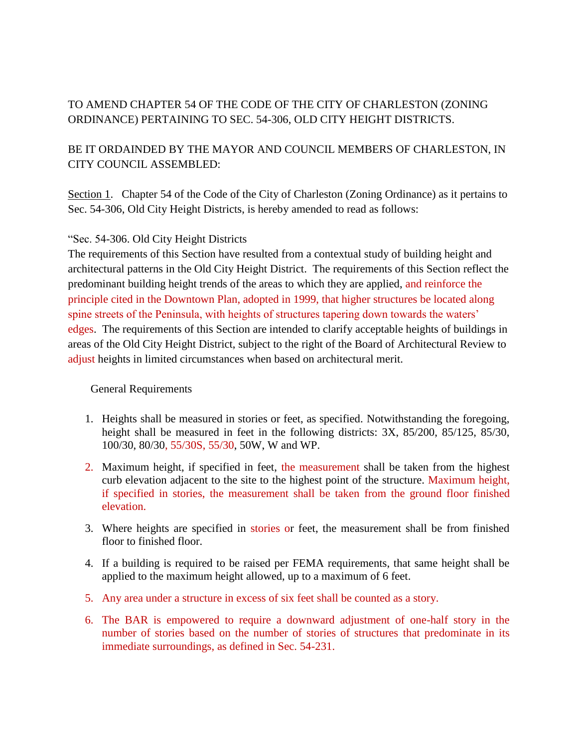# TO AMEND CHAPTER 54 OF THE CODE OF THE CITY OF CHARLESTON (ZONING ORDINANCE) PERTAINING TO SEC. 54-306, OLD CITY HEIGHT DISTRICTS.

# BE IT ORDAINDED BY THE MAYOR AND COUNCIL MEMBERS OF CHARLESTON, IN CITY COUNCIL ASSEMBLED:

Section 1. Chapter 54 of the Code of the City of Charleston (Zoning Ordinance) as it pertains to Sec. 54-306, Old City Height Districts, is hereby amended to read as follows:

## "Sec. 54-306. Old City Height Districts

The requirements of this Section have resulted from a contextual study of building height and architectural patterns in the Old City Height District. The requirements of this Section reflect the predominant building height trends of the areas to which they are applied, and reinforce the principle cited in the Downtown Plan, adopted in 1999, that higher structures be located along spine streets of the Peninsula, with heights of structures tapering down towards the waters' edges. The requirements of this Section are intended to clarify acceptable heights of buildings in areas of the Old City Height District, subject to the right of the Board of Architectural Review to adjust heights in limited circumstances when based on architectural merit.

## General Requirements

- 1. Heights shall be measured in stories or feet, as specified. Notwithstanding the foregoing, height shall be measured in feet in the following districts: 3X, 85/200, 85/125, 85/30, 100/30, 80/30, 55/30S, 55/30, 50W, W and WP.
- 2. Maximum height, if specified in feet, the measurement shall be taken from the highest curb elevation adjacent to the site to the highest point of the structure. Maximum height, if specified in stories, the measurement shall be taken from the ground floor finished elevation.
- 3. Where heights are specified in stories or feet, the measurement shall be from finished floor to finished floor.
- 4. If a building is required to be raised per FEMA requirements, that same height shall be applied to the maximum height allowed, up to a maximum of 6 feet.
- 5. Any area under a structure in excess of six feet shall be counted as a story.
- 6. The BAR is empowered to require a downward adjustment of one-half story in the number of stories based on the number of stories of structures that predominate in its immediate surroundings, as defined in Sec. 54-231.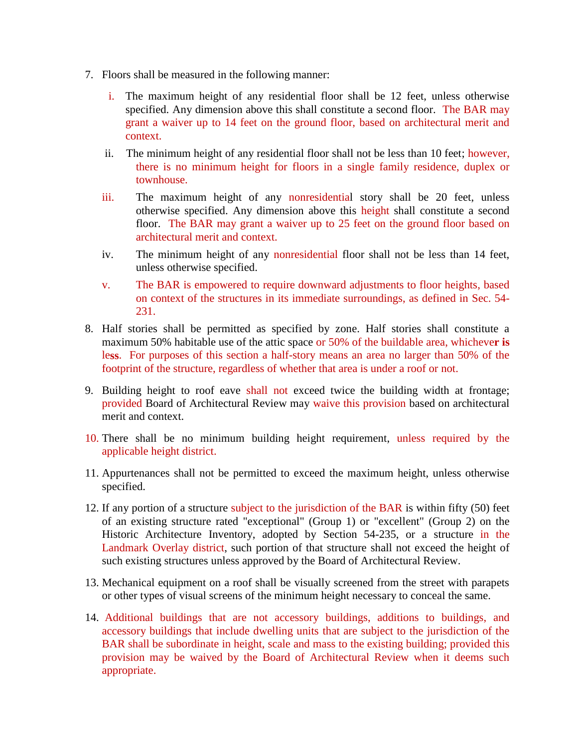- 7. Floors shall be measured in the following manner:
	- i. The maximum height of any residential floor shall be 12 feet, unless otherwise specified. Any dimension above this shall constitute a second floor. The BAR may grant a waiver up to 14 feet on the ground floor, based on architectural merit and context.
	- ii. The minimum height of any residential floor shall not be less than 10 feet; however, there is no minimum height for floors in a single family residence, duplex or townhouse.
	- iii. The maximum height of any nonresidential story shall be 20 feet, unless otherwise specified. Any dimension above this height shall constitute a second floor. The BAR may grant a waiver up to 25 feet on the ground floor based on architectural merit and context.
	- iv. The minimum height of any nonresidential floor shall not be less than 14 feet, unless otherwise specified.
	- v. The BAR is empowered to require downward adjustments to floor heights, based on context of the structures in its immediate surroundings, as defined in Sec. 54- 231.
- 8. Half stories shall be permitted as specified by zone. Half stories shall constitute a maximum 50% habitable use of the attic space or 50% of the buildable area, whicheve**r is**  le**ss**. For purposes of this section a half-story means an area no larger than 50% of the footprint of the structure, regardless of whether that area is under a roof or not.
- 9. Building height to roof eave shall not exceed twice the building width at frontage; provided Board of Architectural Review may waive this provision based on architectural merit and context.
- 10. There shall be no minimum building height requirement, unless required by the applicable height district.
- 11. Appurtenances shall not be permitted to exceed the maximum height, unless otherwise specified.
- 12. If any portion of a structure subject to the jurisdiction of the BAR is within fifty (50) feet of an existing structure rated "exceptional" (Group 1) or "excellent" (Group 2) on the Historic Architecture Inventory, adopted by Section 54-235, or a structure in the Landmark Overlay district, such portion of that structure shall not exceed the height of such existing structures unless approved by the Board of Architectural Review.
- 13. Mechanical equipment on a roof shall be visually screened from the street with parapets or other types of visual screens of the minimum height necessary to conceal the same.
- 14. Additional buildings that are not accessory buildings, additions to buildings, and accessory buildings that include dwelling units that are subject to the jurisdiction of the BAR shall be subordinate in height, scale and mass to the existing building; provided this provision may be waived by the Board of Architectural Review when it deems such appropriate.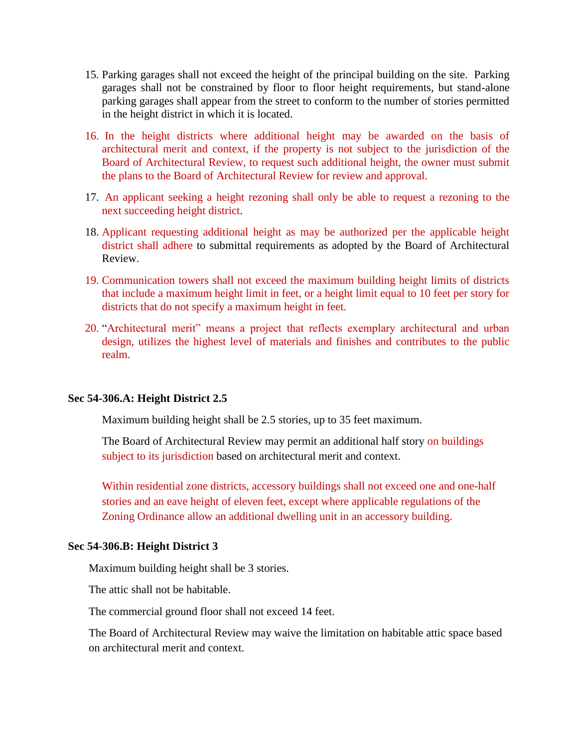- 15. Parking garages shall not exceed the height of the principal building on the site. Parking garages shall not be constrained by floor to floor height requirements, but stand-alone parking garages shall appear from the street to conform to the number of stories permitted in the height district in which it is located.
- 16. In the height districts where additional height may be awarded on the basis of architectural merit and context, if the property is not subject to the jurisdiction of the Board of Architectural Review, to request such additional height, the owner must submit the plans to the Board of Architectural Review for review and approval.
- 17. An applicant seeking a height rezoning shall only be able to request a rezoning to the next succeeding height district.
- 18. Applicant requesting additional height as may be authorized per the applicable height district shall adhere to submittal requirements as adopted by the Board of Architectural Review.
- 19. Communication towers shall not exceed the maximum building height limits of districts that include a maximum height limit in feet, or a height limit equal to 10 feet per story for districts that do not specify a maximum height in feet.
- 20. "Architectural merit" means a project that reflects exemplary architectural and urban design, utilizes the highest level of materials and finishes and contributes to the public realm.

### **Sec 54-306.A: Height District 2.5**

Maximum building height shall be 2.5 stories, up to 35 feet maximum.

The Board of Architectural Review may permit an additional half story on buildings subject to its jurisdiction based on architectural merit and context.

Within residential zone districts, accessory buildings shall not exceed one and one-half stories and an eave height of eleven feet, except where applicable regulations of the Zoning Ordinance allow an additional dwelling unit in an accessory building.

### **Sec 54-306.B: Height District 3**

Maximum building height shall be 3 stories.

The attic shall not be habitable.

The commercial ground floor shall not exceed 14 feet.

The Board of Architectural Review may waive the limitation on habitable attic space based on architectural merit and context.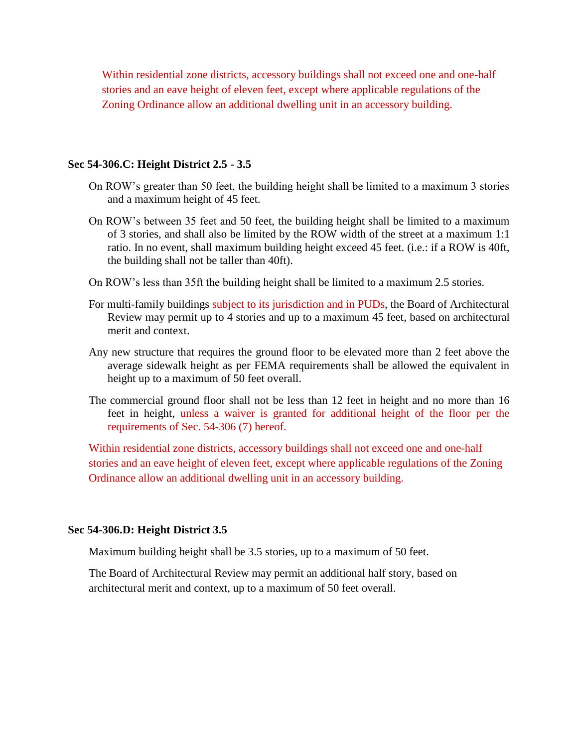Within residential zone districts, accessory buildings shall not exceed one and one-half stories and an eave height of eleven feet, except where applicable regulations of the Zoning Ordinance allow an additional dwelling unit in an accessory building.

#### **Sec 54-306.C: Height District 2.5 - 3.5**

- On ROW's greater than 50 feet, the building height shall be limited to a maximum 3 stories and a maximum height of 45 feet.
- On ROW's between 35 feet and 50 feet, the building height shall be limited to a maximum of 3 stories, and shall also be limited by the ROW width of the street at a maximum 1:1 ratio. In no event, shall maximum building height exceed 45 feet. (i.e.: if a ROW is 40ft, the building shall not be taller than 40ft).
- On ROW's less than 35ft the building height shall be limited to a maximum 2.5 stories.
- For multi-family buildings subject to its jurisdiction and in PUDs, the Board of Architectural Review may permit up to 4 stories and up to a maximum 45 feet, based on architectural merit and context.
- Any new structure that requires the ground floor to be elevated more than 2 feet above the average sidewalk height as per FEMA requirements shall be allowed the equivalent in height up to a maximum of 50 feet overall.
- The commercial ground floor shall not be less than 12 feet in height and no more than 16 feet in height, unless a waiver is granted for additional height of the floor per the requirements of Sec. 54-306 (7) hereof.

Within residential zone districts, accessory buildings shall not exceed one and one-half stories and an eave height of eleven feet, except where applicable regulations of the Zoning Ordinance allow an additional dwelling unit in an accessory building.

#### **Sec 54-306.D: Height District 3.5**

Maximum building height shall be 3.5 stories, up to a maximum of 50 feet.

The Board of Architectural Review may permit an additional half story, based on architectural merit and context, up to a maximum of 50 feet overall.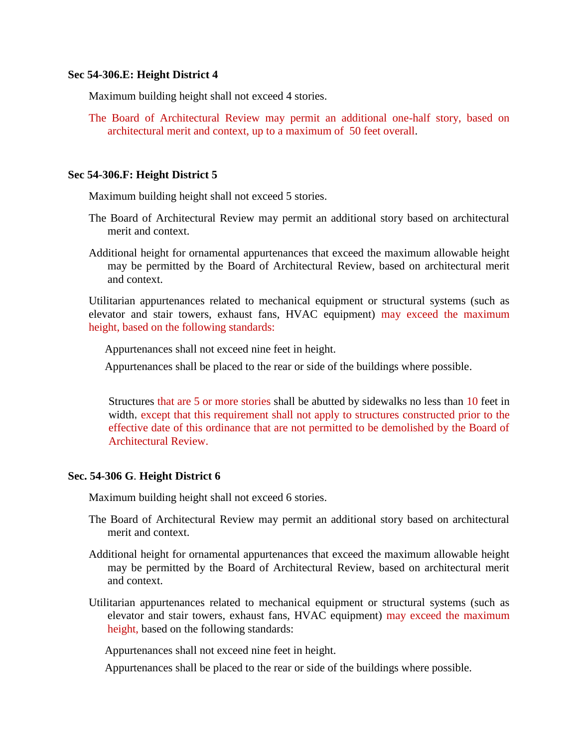#### **Sec 54-306.E: Height District 4**

Maximum building height shall not exceed 4 stories.

The Board of Architectural Review may permit an additional one-half story, based on architectural merit and context, up to a maximum of 50 feet overall.

### **Sec 54-306.F: Height District 5**

Maximum building height shall not exceed 5 stories.

- The Board of Architectural Review may permit an additional story based on architectural merit and context.
- Additional height for ornamental appurtenances that exceed the maximum allowable height may be permitted by the Board of Architectural Review, based on architectural merit and context.

Utilitarian appurtenances related to mechanical equipment or structural systems (such as elevator and stair towers, exhaust fans, HVAC equipment) may exceed the maximum height, based on the following standards:

Appurtenances shall not exceed nine feet in height.

Appurtenances shall be placed to the rear or side of the buildings where possible.

Structures that are 5 or more stories shall be abutted by sidewalks no less than 10 feet in width, except that this requirement shall not apply to structures constructed prior to the effective date of this ordinance that are not permitted to be demolished by the Board of Architectural Review.

### **Sec. 54-306 G**. **Height District 6**

Maximum building height shall not exceed 6 stories.

- The Board of Architectural Review may permit an additional story based on architectural merit and context.
- Additional height for ornamental appurtenances that exceed the maximum allowable height may be permitted by the Board of Architectural Review, based on architectural merit and context.
- Utilitarian appurtenances related to mechanical equipment or structural systems (such as elevator and stair towers, exhaust fans, HVAC equipment) may exceed the maximum height, based on the following standards:

Appurtenances shall not exceed nine feet in height.

Appurtenances shall be placed to the rear or side of the buildings where possible.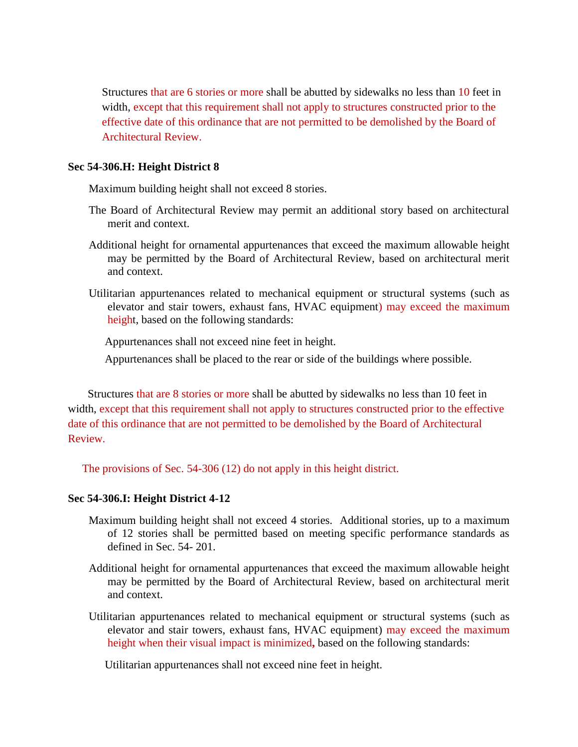Structures that are 6 stories or more shall be abutted by sidewalks no less than 10 feet in width, except that this requirement shall not apply to structures constructed prior to the effective date of this ordinance that are not permitted to be demolished by the Board of Architectural Review.

#### **Sec 54-306.H: Height District 8**

Maximum building height shall not exceed 8 stories.

- The Board of Architectural Review may permit an additional story based on architectural merit and context.
- Additional height for ornamental appurtenances that exceed the maximum allowable height may be permitted by the Board of Architectural Review, based on architectural merit and context.
- Utilitarian appurtenances related to mechanical equipment or structural systems (such as elevator and stair towers, exhaust fans, HVAC equipment) may exceed the maximum height, based on the following standards:

Appurtenances shall not exceed nine feet in height.

Appurtenances shall be placed to the rear or side of the buildings where possible.

 Structures that are 8 stories or more shall be abutted by sidewalks no less than 10 feet in width, except that this requirement shall not apply to structures constructed prior to the effective date of this ordinance that are not permitted to be demolished by the Board of Architectural Review.

The provisions of Sec. 54-306 (12) do not apply in this height district.

### **Sec 54-306.I: Height District 4-12**

- Maximum building height shall not exceed 4 stories. Additional stories, up to a maximum of 12 stories shall be permitted based on meeting specific performance standards as defined in Sec. 54- 201.
- Additional height for ornamental appurtenances that exceed the maximum allowable height may be permitted by the Board of Architectural Review, based on architectural merit and context.
- Utilitarian appurtenances related to mechanical equipment or structural systems (such as elevator and stair towers, exhaust fans, HVAC equipment) may exceed the maximum height when their visual impact is minimized**,** based on the following standards:

Utilitarian appurtenances shall not exceed nine feet in height.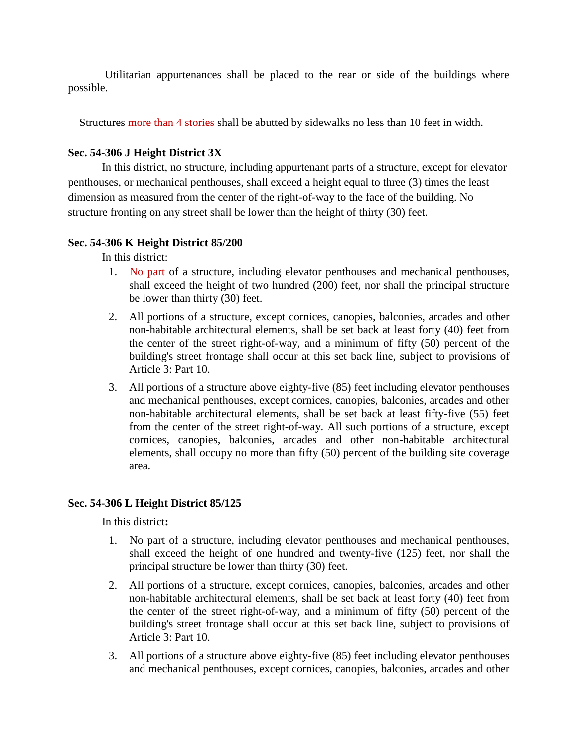Utilitarian appurtenances shall be placed to the rear or side of the buildings where possible.

Structures more than 4 stories shall be abutted by sidewalks no less than 10 feet in width.

## **Sec. 54-306 J Height District 3X**

In this district, no structure, including appurtenant parts of a structure, except for elevator penthouses, or mechanical penthouses, shall exceed a height equal to three (3) times the least dimension as measured from the center of the right-of-way to the face of the building. No structure fronting on any street shall be lower than the height of thirty (30) feet.

## **Sec. 54-306 K Height District 85/200**

In this district:

- 1. No part of a structure, including elevator penthouses and mechanical penthouses, shall exceed the height of two hundred (200) feet, nor shall the principal structure be lower than thirty (30) feet.
- 2. All portions of a structure, except cornices, canopies, balconies, arcades and other non-habitable architectural elements, shall be set back at least forty (40) feet from the center of the street right-of-way, and a minimum of fifty (50) percent of the building's street frontage shall occur at this set back line, subject to provisions of Article 3: Part 10.
- 3. All portions of a structure above eighty-five (85) feet including elevator penthouses and mechanical penthouses, except cornices, canopies, balconies, arcades and other non-habitable architectural elements, shall be set back at least fifty-five (55) feet from the center of the street right-of-way. All such portions of a structure, except cornices, canopies, balconies, arcades and other non-habitable architectural elements, shall occupy no more than fifty (50) percent of the building site coverage area.

## **Sec. 54-306 L Height District 85/125**

- 1.No part of a structure, including elevator penthouses and mechanical penthouses, shall exceed the height of one hundred and twenty-five (125) feet, nor shall the principal structure be lower than thirty (30) feet.
- 2. All portions of a structure, except cornices, canopies, balconies, arcades and other non-habitable architectural elements, shall be set back at least forty (40) feet from the center of the street right-of-way, and a minimum of fifty (50) percent of the building's street frontage shall occur at this set back line, subject to provisions of Article 3: Part 10.
- 3. All portions of a structure above eighty-five (85) feet including elevator penthouses and mechanical penthouses, except cornices, canopies, balconies, arcades and other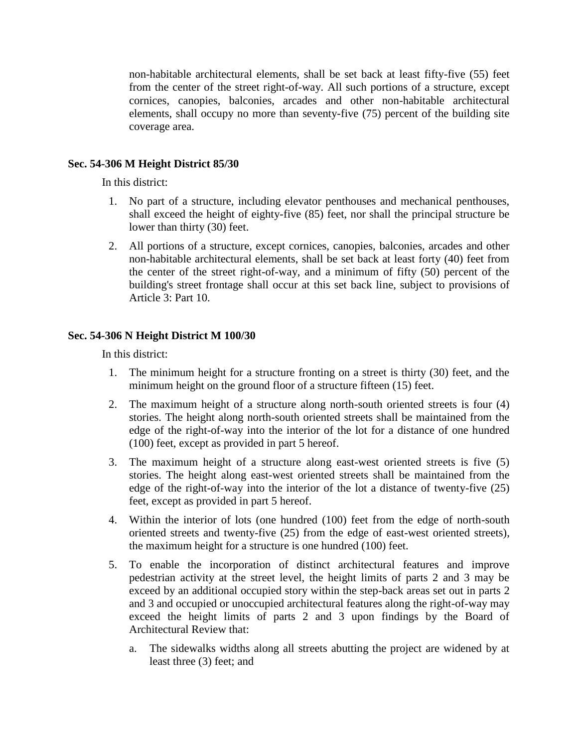non-habitable architectural elements, shall be set back at least fifty-five (55) feet from the center of the street right-of-way. All such portions of a structure, except cornices, canopies, balconies, arcades and other non-habitable architectural elements, shall occupy no more than seventy-five (75) percent of the building site coverage area.

### **Sec. 54-306 M Height District 85/30**

In this district:

- 1. No part of a structure, including elevator penthouses and mechanical penthouses, shall exceed the height of eighty-five (85) feet, nor shall the principal structure be lower than thirty (30) feet.
- 2. All portions of a structure, except cornices, canopies, balconies, arcades and other non-habitable architectural elements, shall be set back at least forty (40) feet from the center of the street right-of-way, and a minimum of fifty (50) percent of the building's street frontage shall occur at this set back line, subject to provisions of Article 3: Part 10.

### **Sec. 54-306 N Height District M 100/30**

- 1. The minimum height for a structure fronting on a street is thirty (30) feet, and the minimum height on the ground floor of a structure fifteen (15) feet.
- 2. The maximum height of a structure along north-south oriented streets is four (4) stories. The height along north-south oriented streets shall be maintained from the edge of the right-of-way into the interior of the lot for a distance of one hundred (100) feet, except as provided in part 5 hereof.
- 3. The maximum height of a structure along east-west oriented streets is five (5) stories. The height along east-west oriented streets shall be maintained from the edge of the right-of-way into the interior of the lot a distance of twenty-five (25) feet, except as provided in part 5 hereof.
- 4. Within the interior of lots (one hundred (100) feet from the edge of north-south oriented streets and twenty-five (25) from the edge of east-west oriented streets), the maximum height for a structure is one hundred (100) feet.
- 5. To enable the incorporation of distinct architectural features and improve pedestrian activity at the street level, the height limits of parts 2 and 3 may be exceed by an additional occupied story within the step-back areas set out in parts 2 and 3 and occupied or unoccupied architectural features along the right-of-way may exceed the height limits of parts 2 and 3 upon findings by the Board of Architectural Review that:
	- a. The sidewalks widths along all streets abutting the project are widened by at least three (3) feet; and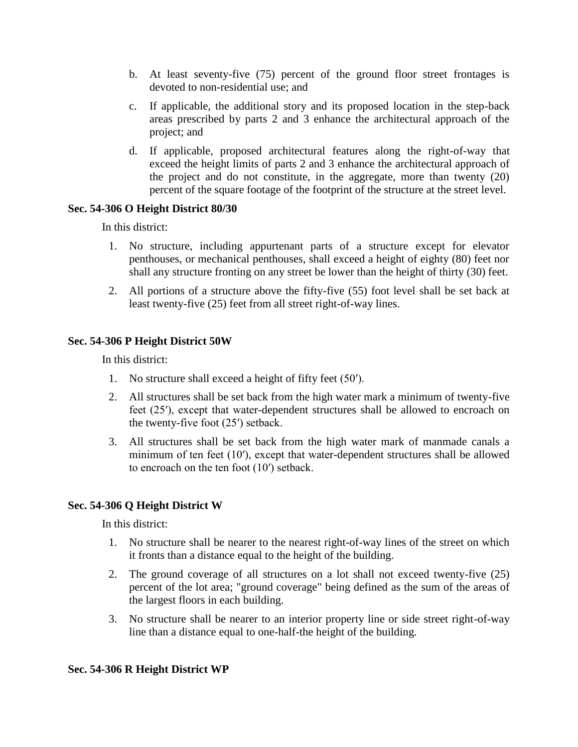- b. At least seventy-five (75) percent of the ground floor street frontages is devoted to non-residential use; and
- c. If applicable, the additional story and its proposed location in the step-back areas prescribed by parts 2 and 3 enhance the architectural approach of the project; and
- d. If applicable, proposed architectural features along the right-of-way that exceed the height limits of parts 2 and 3 enhance the architectural approach of the project and do not constitute, in the aggregate, more than twenty (20) percent of the square footage of the footprint of the structure at the street level.

### **Sec. 54-306 O Height District 80/30**

In this district:

- 1. No structure, including appurtenant parts of a structure except for elevator penthouses, or mechanical penthouses, shall exceed a height of eighty (80) feet nor shall any structure fronting on any street be lower than the height of thirty (30) feet.
- 2. All portions of a structure above the fifty-five (55) foot level shall be set back at least twenty-five (25) feet from all street right-of-way lines.

### **Sec. 54-306 P Height District 50W**

In this district:

- 1. No structure shall exceed a height of fifty feet (50′).
- 2. All structures shall be set back from the high water mark a minimum of twenty-five feet (25′), except that water-dependent structures shall be allowed to encroach on the twenty-five foot (25′) setback.
- 3. All structures shall be set back from the high water mark of manmade canals a minimum of ten feet (10′), except that water-dependent structures shall be allowed to encroach on the ten foot (10′) setback.

### **Sec. 54-306 Q Height District W**

In this district:

- 1. No structure shall be nearer to the nearest right-of-way lines of the street on which it fronts than a distance equal to the height of the building.
- 2. The ground coverage of all structures on a lot shall not exceed twenty-five (25) percent of the lot area; "ground coverage" being defined as the sum of the areas of the largest floors in each building.
- 3. No structure shall be nearer to an interior property line or side street right-of-way line than a distance equal to one-half-the height of the building.

### **Sec. 54-306 R Height District WP**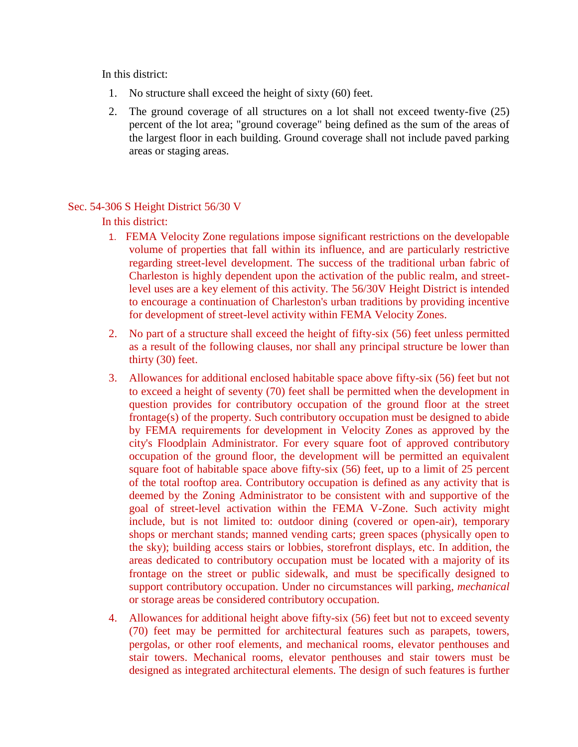In this district:

- 1. No structure shall exceed the height of sixty (60) feet.
- 2. The ground coverage of all structures on a lot shall not exceed twenty-five (25) percent of the lot area; "ground coverage" being defined as the sum of the areas of the largest floor in each building. Ground coverage shall not include paved parking areas or staging areas.

### Sec. 54-306 S Height District 56/30 V

- 1. FEMA Velocity Zone regulations impose significant restrictions on the developable volume of properties that fall within its influence, and are particularly restrictive regarding street-level development. The success of the traditional urban fabric of Charleston is highly dependent upon the activation of the public realm, and streetlevel uses are a key element of this activity. The 56/30V Height District is intended to encourage a continuation of Charleston's urban traditions by providing incentive for development of street-level activity within FEMA Velocity Zones.
- 2. No part of a structure shall exceed the height of fifty-six (56) feet unless permitted as a result of the following clauses, nor shall any principal structure be lower than thirty (30) feet.
- 3. Allowances for additional enclosed habitable space above fifty-six (56) feet but not to exceed a height of seventy (70) feet shall be permitted when the development in question provides for contributory occupation of the ground floor at the street frontage(s) of the property. Such contributory occupation must be designed to abide by FEMA requirements for development in Velocity Zones as approved by the city's Floodplain Administrator. For every square foot of approved contributory occupation of the ground floor, the development will be permitted an equivalent square foot of habitable space above fifty-six (56) feet, up to a limit of 25 percent of the total rooftop area. Contributory occupation is defined as any activity that is deemed by the Zoning Administrator to be consistent with and supportive of the goal of street-level activation within the FEMA V-Zone. Such activity might include, but is not limited to: outdoor dining (covered or open-air), temporary shops or merchant stands; manned vending carts; green spaces (physically open to the sky); building access stairs or lobbies, storefront displays, etc. In addition, the areas dedicated to contributory occupation must be located with a majority of its frontage on the street or public sidewalk, and must be specifically designed to support contributory occupation. Under no circumstances will parking, *mechanical* or storage areas be considered contributory occupation.
- 4. Allowances for additional height above fifty-six (56) feet but not to exceed seventy (70) feet may be permitted for architectural features such as parapets, towers, pergolas, or other roof elements, and mechanical rooms, elevator penthouses and stair towers. Mechanical rooms, elevator penthouses and stair towers must be designed as integrated architectural elements. The design of such features is further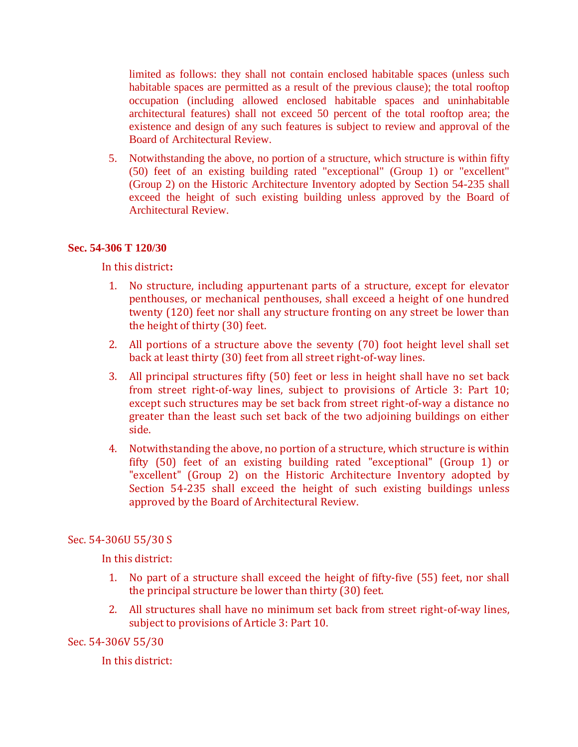limited as follows: they shall not contain enclosed habitable spaces (unless such habitable spaces are permitted as a result of the previous clause); the total rooftop occupation (including allowed enclosed habitable spaces and uninhabitable architectural features) shall not exceed 50 percent of the total rooftop area; the existence and design of any such features is subject to review and approval of the Board of Architectural Review.

5. Notwithstanding the above, no portion of a structure, which structure is within fifty (50) feet of an existing building rated "exceptional" (Group 1) or "excellent" (Group 2) on the Historic Architecture Inventory adopted by Section 54-235 shall exceed the height of such existing building unless approved by the Board of Architectural Review.

### **Sec. 54-306 T 120/30**

In this district**:**

- 1. No structure, including appurtenant parts of a structure, except for elevator penthouses, or mechanical penthouses, shall exceed a height of one hundred twenty (120) feet nor shall any structure fronting on any street be lower than the height of thirty (30) feet.
- 2. All portions of a structure above the seventy (70) foot height level shall set back at least thirty (30) feet from all street right-of-way lines.
- 3. All principal structures fifty (50) feet or less in height shall have no set back from street right-of-way lines, subject to provisions of Article 3: Part 10; except such structures may be set back from street right-of-way a distance no greater than the least such set back of the two adjoining buildings on either side.
- 4. Notwithstanding the above, no portion of a structure, which structure is within fifty (50) feet of an existing building rated "exceptional" (Group 1) or "excellent" (Group 2) on the Historic Architecture Inventory adopted by Section 54-235 shall exceed the height of such existing buildings unless approved by the Board of Architectural Review.

### Sec. 54-306U 55/30 S

In this district:

- 1. No part of a structure shall exceed the height of fifty-five (55) feet, nor shall the principal structure be lower than thirty (30) feet.
- 2. All structures shall have no minimum set back from street right-of-way lines, subject to provisions of Article 3: Part 10.

### Sec. 54-306V 55/30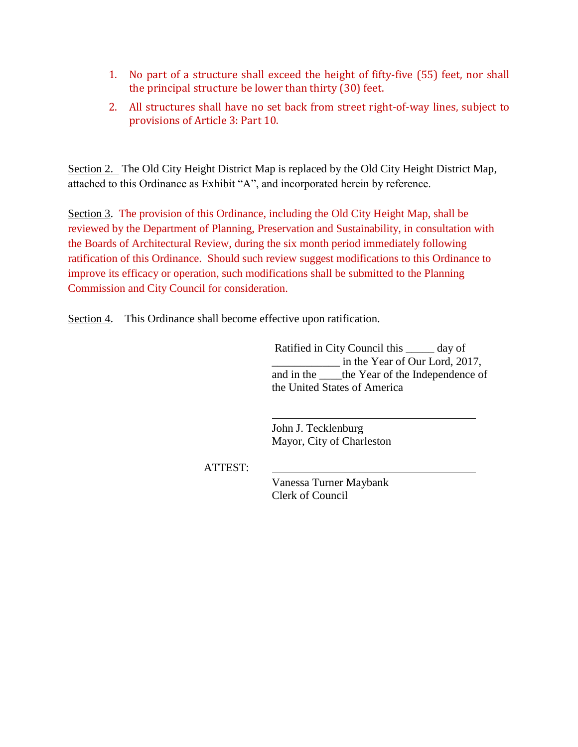- 1. No part of a structure shall exceed the height of fifty-five (55) feet, nor shall the principal structure be lower than thirty (30) feet.
- 2. All structures shall have no set back from street right-of-way lines, subject to provisions of Article 3: Part 10.

Section 2. The Old City Height District Map is replaced by the Old City Height District Map, attached to this Ordinance as Exhibit "A", and incorporated herein by reference.

Section 3. The provision of this Ordinance, including the Old City Height Map, shall be reviewed by the Department of Planning, Preservation and Sustainability, in consultation with the Boards of Architectural Review, during the six month period immediately following ratification of this Ordinance. Should such review suggest modifications to this Ordinance to improve its efficacy or operation, such modifications shall be submitted to the Planning Commission and City Council for consideration.

Section 4. This Ordinance shall become effective upon ratification.

 Ratified in City Council this \_\_\_\_\_ day of \_\_\_\_\_\_\_\_\_\_\_\_ in the Year of Our Lord, 2017, and in the letthe Year of the Independence of the United States of America

John J. Tecklenburg Mayor, City of Charleston

ATTEST:

Vanessa Turner Maybank Clerk of Council